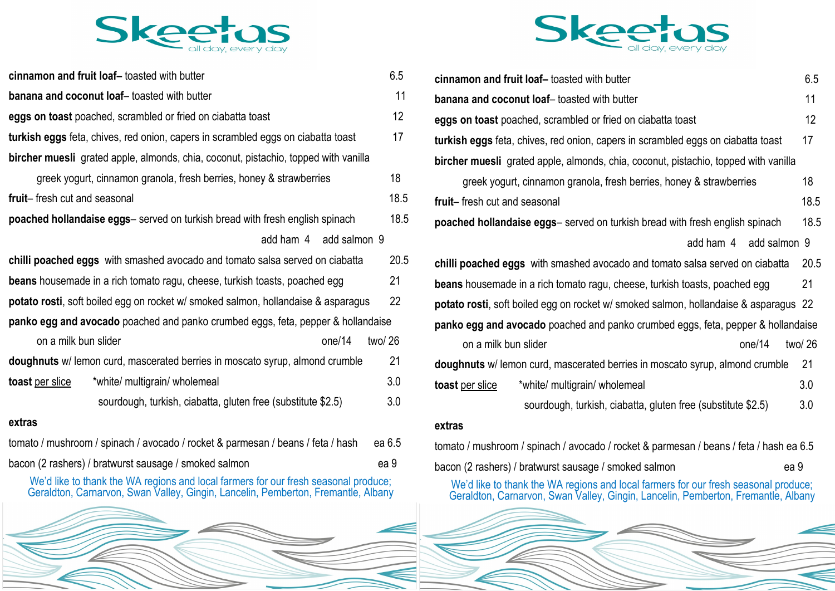

| cinnamon and fruit loaf-toasted with butter                                         | 6.5  |  |  |
|-------------------------------------------------------------------------------------|------|--|--|
| banana and coconut loaf-toasted with butter                                         | 11   |  |  |
| eggs on toast poached, scrambled or fried on ciabatta toast                         | 12   |  |  |
| turkish eggs feta, chives, red onion, capers in scrambled eggs on ciabatta toast    | 17   |  |  |
| bircher muesli grated apple, almonds, chia, coconut, pistachio, topped with vanilla |      |  |  |
| greek yogurt, cinnamon granola, fresh berries, honey & strawberries                 | 18   |  |  |
| fruit-fresh cut and seasonal                                                        | 18.5 |  |  |
| poached hollandaise eggs- served on turkish bread with fresh english spinach        | 18.5 |  |  |
| add ham 4 add salmon 9                                                              |      |  |  |
| chilli poached eggs with smashed avocado and tomato salsa served on ciabatta        | 20.5 |  |  |
| beans housemade in a rich tomato ragu, cheese, turkish toasts, poached egg          | 21   |  |  |
| potato rosti, soft boiled egg on rocket w/ smoked salmon, hollandaise & asparagus   | 22   |  |  |
| panko egg and avocado poached and panko crumbed eggs, feta, pepper & hollandaise    |      |  |  |
| on a milk bun slider<br>one/14<br>two/ 26                                           |      |  |  |
| doughnuts w/ lemon curd, mascerated berries in moscato syrup, almond crumble        | 21   |  |  |
| toast per slice<br>*white/ multigrain/ wholemeal                                    | 3.0  |  |  |
| sourdough, turkish, ciabatta, gluten free (substitute \$2.5)                        | 3.0  |  |  |
|                                                                                     |      |  |  |

### **extras**

| tomato / mushroom / spinach / avocado / rocket & parmesan / beans / feta / hash ea 6.5 |      |
|----------------------------------------------------------------------------------------|------|
| bacon (2 rashers) / bratwurst sausage / smoked salmon                                  | ea 9 |

We'd like to thank the WA regions and local farmers for our fresh seasonal produce; Geraldton, Carnarvon, Swan Valley, Gingin, Lancelin, Pemberton, Fremantle, Albany





| cinnamon and fruit loaf-toasted with butter                                          | 6.5    |
|--------------------------------------------------------------------------------------|--------|
| banana and coconut loaf-toasted with butter                                          | 11     |
| eggs on toast poached, scrambled or fried on ciabatta toast                          | 12     |
| turkish eggs feta, chives, red onion, capers in scrambled eggs on ciabatta toast     | 17     |
| bircher muesli grated apple, almonds, chia, coconut, pistachio, topped with vanilla  |        |
| greek yogurt, cinnamon granola, fresh berries, honey & strawberries                  | 18     |
| fruit-fresh cut and seasonal                                                         | 18.5   |
| poached hollandaise eggs- served on turkish bread with fresh english spinach         | 18.5   |
| add salmon 9<br>add ham 4                                                            |        |
| chilli poached eggs with smashed avocado and tomato salsa served on ciabatta         | 20.5   |
| beans housemade in a rich tomato ragu, cheese, turkish toasts, poached egg           | 21     |
| potato rosti, soft boiled egg on rocket w/ smoked salmon, hollandaise & asparagus 22 |        |
| panko egg and avocado poached and panko crumbed eggs, feta, pepper & hollandaise     |        |
| on a milk bun slider<br>one/14                                                       | two/26 |
| doughnuts w/ lemon curd, mascerated berries in moscato syrup, almond crumble         | 21     |
| toast per slice<br>*white/ multigrain/ wholemeal                                     | 3.0    |
| sourdough, turkish, ciabatta, gluten free (substitute \$2.5)                         | 3.0    |
| ovtroc                                                                               |        |

### **extras**

tomato / mushroom / spinach / avocado / rocket & parmesan / beans / feta / hash ea 6.5 bacon (2 rashers) / bratwurst sausage / smoked salmon ea 9

We'd like to thank the WA regions and local farmers for our fresh seasonal produce; Geraldton, Carnarvon, Swan Valley, Gingin, Lancelin, Pemberton, Fremantle, Albany